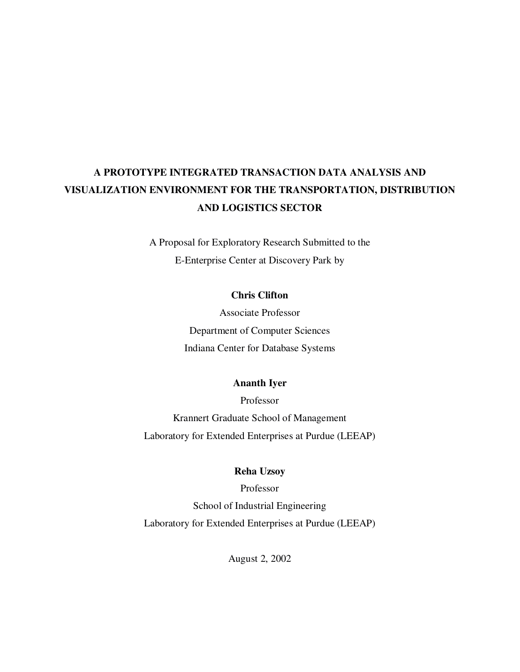# **A PROTOTYPE INTEGRATED TRANSACTION DATA ANALYSIS AND VISUALIZATION ENVIRONMENT FOR THE TRANSPORTATION, DISTRIBUTION AND LOGISTICS SECTOR**

A Proposal for Exploratory Research Submitted to the E-Enterprise Center at Discovery Park by

## **Chris Clifton**

Associate Professor Department of Computer Sciences Indiana Center for Database Systems

### **Ananth Iyer**

Professor Krannert Graduate School of Management Laboratory for Extended Enterprises at Purdue (LEEAP)

## **Reha Uzsoy**

Professor School of Industrial Engineering Laboratory for Extended Enterprises at Purdue (LEEAP)

August 2, 2002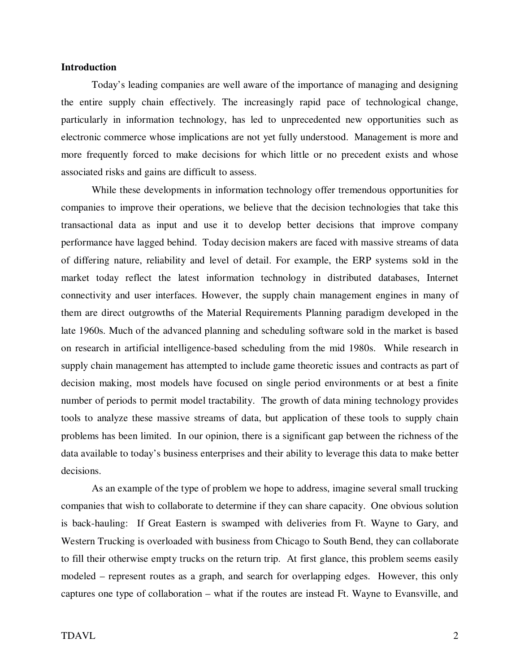#### **Introduction**

Today's leading companies are well aware of the importance of managing and designing the entire supply chain effectively. The increasingly rapid pace of technological change, particularly in information technology, has led to unprecedented new opportunities such as electronic commerce whose implications are not yet fully understood. Management is more and more frequently forced to make decisions for which little or no precedent exists and whose associated risks and gains are difficult to assess.

While these developments in information technology offer tremendous opportunities for companies to improve their operations, we believe that the decision technologies that take this transactional data as input and use it to develop better decisions that improve company performance have lagged behind. Today decision makers are faced with massive streams of data of differing nature, reliability and level of detail. For example, the ERP systems sold in the market today reflect the latest information technology in distributed databases, Internet connectivity and user interfaces. However, the supply chain management engines in many of them are direct outgrowths of the Material Requirements Planning paradigm developed in the late 1960s. Much of the advanced planning and scheduling software sold in the market is based on research in artificial intelligence-based scheduling from the mid 1980s. While research in supply chain management has attempted to include game theoretic issues and contracts as part of decision making, most models have focused on single period environments or at best a finite number of periods to permit model tractability. The growth of data mining technology provides tools to analyze these massive streams of data, but application of these tools to supply chain problems has been limited. In our opinion, there is a significant gap between the richness of the data available to today's business enterprises and their ability to leverage this data to make better decisions.

As an example of the type of problem we hope to address, imagine several small trucking companies that wish to collaborate to determine if they can share capacity. One obvious solution is back-hauling: If Great Eastern is swamped with deliveries from Ft. Wayne to Gary, and Western Trucking is overloaded with business from Chicago to South Bend, they can collaborate to fill their otherwise empty trucks on the return trip. At first glance, this problem seems easily modeled – represent routes as a graph, and search for overlapping edges. However, this only captures one type of collaboration – what if the routes are instead Ft. Wayne to Evansville, and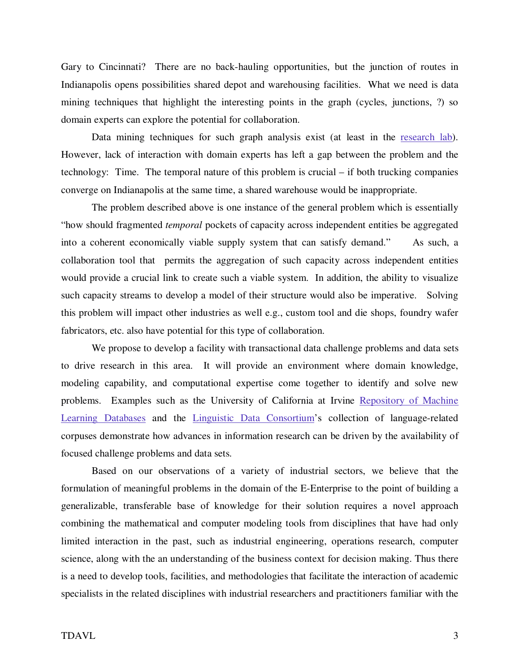Gary to Cincinnati? There are no back-hauling opportunities, but the junction of routes in Indianapolis opens possibilities shared depot and warehousing facilities. What we need is data mining techniques that highlight the interesting points in the graph (cycles, junctions, ?) so domain experts can explore the potential for collaboration.

Data mining techniques for such graph analysis exist (at least in the research lab). However, lack of interaction with domain experts has left a gap between the problem and the technology: Time. The temporal nature of this problem is crucial – if both trucking companies converge on Indianapolis at the same time, a shared warehouse would be inappropriate.

The problem described above is one instance of the general problem which is essentially "how should fragmented *temporal* pockets of capacity across independent entities be aggregated into a coherent economically viable supply system that can satisfy demand." As such, a collaboration tool that permits the aggregation of such capacity across independent entities would provide a crucial link to create such a viable system. In addition, the ability to visualize such capacity streams to develop a model of their structure would also be imperative. Solving this problem will impact other industries as well e.g., custom tool and die shops, foundry wafer fabricators, etc. also have potential for this type of collaboration.

We propose to develop a facility with transactional data challenge problems and data sets to drive research in this area. It will provide an environment where domain knowledge, modeling capability, and computational expertise come together to identify and solve new problems. Examples such as the University of California at Irvine Repository of Machine Learning Databases and the Linguistic Data Consortium's collection of language-related corpuses demonstrate how advances in information research can be driven by the availability of focused challenge problems and data sets.

Based on our observations of a variety of industrial sectors, we believe that the formulation of meaningful problems in the domain of the E-Enterprise to the point of building a generalizable, transferable base of knowledge for their solution requires a novel approach combining the mathematical and computer modeling tools from disciplines that have had only limited interaction in the past, such as industrial engineering, operations research, computer science, along with the an understanding of the business context for decision making. Thus there is a need to develop tools, facilities, and methodologies that facilitate the interaction of academic specialists in the related disciplines with industrial researchers and practitioners familiar with the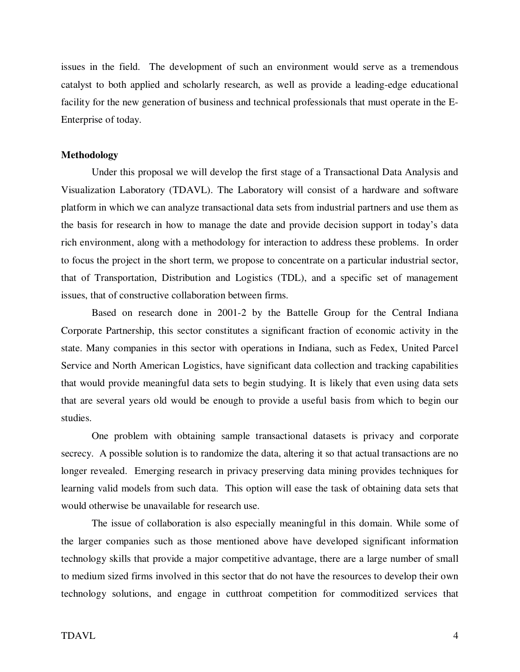issues in the field. The development of such an environment would serve as a tremendous catalyst to both applied and scholarly research, as well as provide a leading-edge educational facility for the new generation of business and technical professionals that must operate in the E-Enterprise of today.

#### **Methodology**

Under this proposal we will develop the first stage of a Transactional Data Analysis and Visualization Laboratory (TDAVL). The Laboratory will consist of a hardware and software platform in which we can analyze transactional data sets from industrial partners and use them as the basis for research in how to manage the date and provide decision support in today's data rich environment, along with a methodology for interaction to address these problems. In order to focus the project in the short term, we propose to concentrate on a particular industrial sector, that of Transportation, Distribution and Logistics (TDL), and a specific set of management issues, that of constructive collaboration between firms.

Based on research done in 2001-2 by the Battelle Group for the Central Indiana Corporate Partnership, this sector constitutes a significant fraction of economic activity in the state. Many companies in this sector with operations in Indiana, such as Fedex, United Parcel Service and North American Logistics, have significant data collection and tracking capabilities that would provide meaningful data sets to begin studying. It is likely that even using data sets that are several years old would be enough to provide a useful basis from which to begin our studies.

One problem with obtaining sample transactional datasets is privacy and corporate secrecy. A possible solution is to randomize the data, altering it so that actual transactions are no longer revealed. Emerging research in privacy preserving data mining provides techniques for learning valid models from such data. This option will ease the task of obtaining data sets that would otherwise be unavailable for research use.

The issue of collaboration is also especially meaningful in this domain. While some of the larger companies such as those mentioned above have developed significant information technology skills that provide a major competitive advantage, there are a large number of small to medium sized firms involved in this sector that do not have the resources to develop their own technology solutions, and engage in cutthroat competition for commoditized services that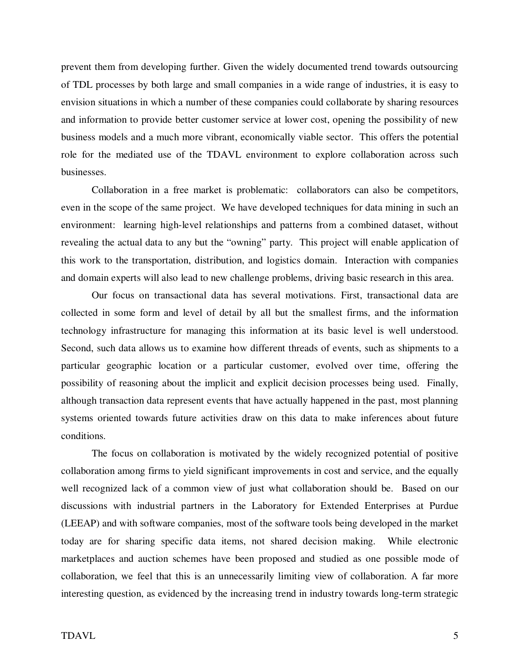prevent them from developing further. Given the widely documented trend towards outsourcing of TDL processes by both large and small companies in a wide range of industries, it is easy to envision situations in which a number of these companies could collaborate by sharing resources and information to provide better customer service at lower cost, opening the possibility of new business models and a much more vibrant, economically viable sector. This offers the potential role for the mediated use of the TDAVL environment to explore collaboration across such businesses.

Collaboration in a free market is problematic: collaborators can also be competitors, even in the scope of the same project. We have developed techniques for data mining in such an environment: learning high-level relationships and patterns from a combined dataset, without revealing the actual data to any but the "owning" party. This project will enable application of this work to the transportation, distribution, and logistics domain. Interaction with companies and domain experts will also lead to new challenge problems, driving basic research in this area.

Our focus on transactional data has several motivations. First, transactional data are collected in some form and level of detail by all but the smallest firms, and the information technology infrastructure for managing this information at its basic level is well understood. Second, such data allows us to examine how different threads of events, such as shipments to a particular geographic location or a particular customer, evolved over time, offering the possibility of reasoning about the implicit and explicit decision processes being used. Finally, although transaction data represent events that have actually happened in the past, most planning systems oriented towards future activities draw on this data to make inferences about future conditions.

The focus on collaboration is motivated by the widely recognized potential of positive collaboration among firms to yield significant improvements in cost and service, and the equally well recognized lack of a common view of just what collaboration should be. Based on our discussions with industrial partners in the Laboratory for Extended Enterprises at Purdue (LEEAP) and with software companies, most of the software tools being developed in the market today are for sharing specific data items, not shared decision making. While electronic marketplaces and auction schemes have been proposed and studied as one possible mode of collaboration, we feel that this is an unnecessarily limiting view of collaboration. A far more interesting question, as evidenced by the increasing trend in industry towards long-term strategic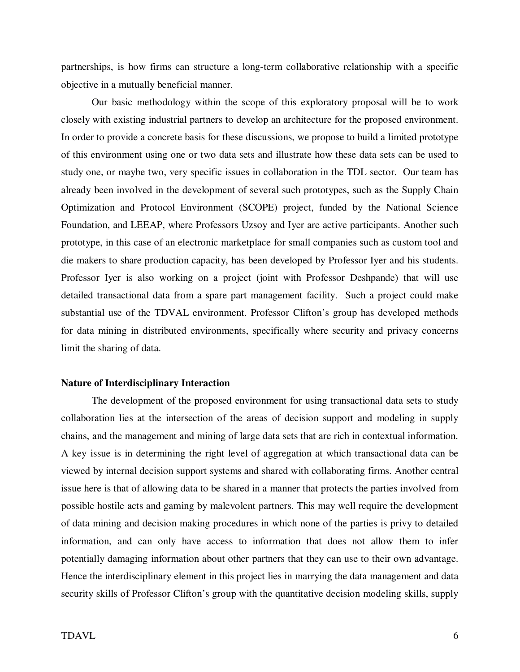partnerships, is how firms can structure a long-term collaborative relationship with a specific objective in a mutually beneficial manner.

Our basic methodology within the scope of this exploratory proposal will be to work closely with existing industrial partners to develop an architecture for the proposed environment. In order to provide a concrete basis for these discussions, we propose to build a limited prototype of this environment using one or two data sets and illustrate how these data sets can be used to study one, or maybe two, very specific issues in collaboration in the TDL sector. Our team has already been involved in the development of several such prototypes, such as the Supply Chain Optimization and Protocol Environment (SCOPE) project, funded by the National Science Foundation, and LEEAP, where Professors Uzsoy and Iyer are active participants. Another such prototype, in this case of an electronic marketplace for small companies such as custom tool and die makers to share production capacity, has been developed by Professor Iyer and his students. Professor Iyer is also working on a project (joint with Professor Deshpande) that will use detailed transactional data from a spare part management facility. Such a project could make substantial use of the TDVAL environment. Professor Clifton's group has developed methods for data mining in distributed environments, specifically where security and privacy concerns limit the sharing of data.

#### **Nature of Interdisciplinary Interaction**

The development of the proposed environment for using transactional data sets to study collaboration lies at the intersection of the areas of decision support and modeling in supply chains, and the management and mining of large data sets that are rich in contextual information. A key issue is in determining the right level of aggregation at which transactional data can be viewed by internal decision support systems and shared with collaborating firms. Another central issue here is that of allowing data to be shared in a manner that protects the parties involved from possible hostile acts and gaming by malevolent partners. This may well require the development of data mining and decision making procedures in which none of the parties is privy to detailed information, and can only have access to information that does not allow them to infer potentially damaging information about other partners that they can use to their own advantage. Hence the interdisciplinary element in this project lies in marrying the data management and data security skills of Professor Clifton's group with the quantitative decision modeling skills, supply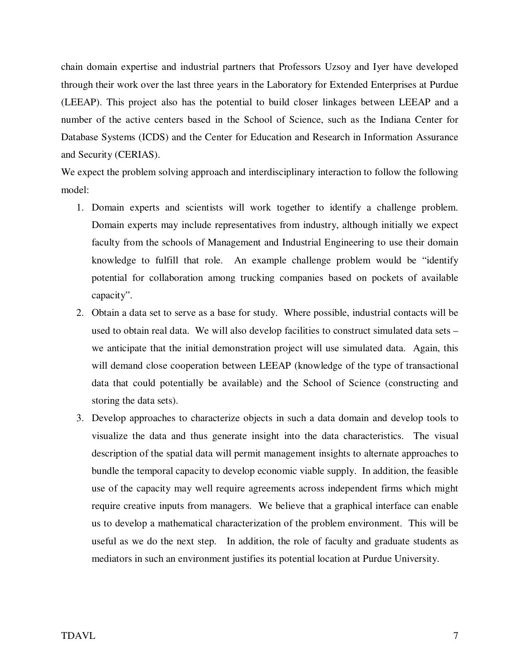chain domain expertise and industrial partners that Professors Uzsoy and Iyer have developed through their work over the last three years in the Laboratory for Extended Enterprises at Purdue (LEEAP). This project also has the potential to build closer linkages between LEEAP and a number of the active centers based in the School of Science, such as the Indiana Center for Database Systems (ICDS) and the Center for Education and Research in Information Assurance and Security (CERIAS).

We expect the problem solving approach and interdisciplinary interaction to follow the following model:

- 1. Domain experts and scientists will work together to identify a challenge problem. Domain experts may include representatives from industry, although initially we expect faculty from the schools of Management and Industrial Engineering to use their domain knowledge to fulfill that role. An example challenge problem would be "identify potential for collaboration among trucking companies based on pockets of available capacity".
- 2. Obtain a data set to serve as a base for study. Where possible, industrial contacts will be used to obtain real data. We will also develop facilities to construct simulated data sets – we anticipate that the initial demonstration project will use simulated data. Again, this will demand close cooperation between LEEAP (knowledge of the type of transactional data that could potentially be available) and the School of Science (constructing and storing the data sets).
- 3. Develop approaches to characterize objects in such a data domain and develop tools to visualize the data and thus generate insight into the data characteristics. The visual description of the spatial data will permit management insights to alternate approaches to bundle the temporal capacity to develop economic viable supply. In addition, the feasible use of the capacity may well require agreements across independent firms which might require creative inputs from managers. We believe that a graphical interface can enable us to develop a mathematical characterization of the problem environment. This will be useful as we do the next step. In addition, the role of faculty and graduate students as mediators in such an environment justifies its potential location at Purdue University.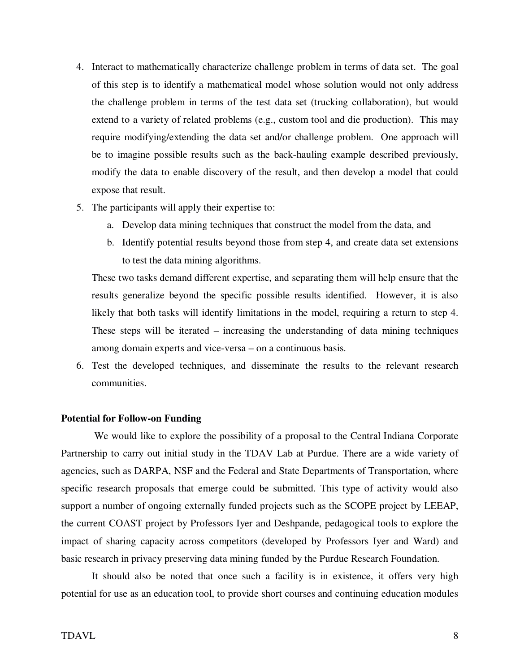- 4. Interact to mathematically characterize challenge problem in terms of data set. The goal of this step is to identify a mathematical model whose solution would not only address the challenge problem in terms of the test data set (trucking collaboration), but would extend to a variety of related problems (e.g., custom tool and die production). This may require modifying/extending the data set and/or challenge problem. One approach will be to imagine possible results such as the back-hauling example described previously, modify the data to enable discovery of the result, and then develop a model that could expose that result.
- 5. The participants will apply their expertise to:
	- a. Develop data mining techniques that construct the model from the data, and
	- b. Identify potential results beyond those from step 4, and create data set extensions to test the data mining algorithms.

These two tasks demand different expertise, and separating them will help ensure that the results generalize beyond the specific possible results identified. However, it is also likely that both tasks will identify limitations in the model, requiring a return to step 4. These steps will be iterated – increasing the understanding of data mining techniques among domain experts and vice-versa – on a continuous basis.

6. Test the developed techniques, and disseminate the results to the relevant research communities.

#### **Potential for Follow-on Funding**

We would like to explore the possibility of a proposal to the Central Indiana Corporate Partnership to carry out initial study in the TDAV Lab at Purdue. There are a wide variety of agencies, such as DARPA, NSF and the Federal and State Departments of Transportation, where specific research proposals that emerge could be submitted. This type of activity would also support a number of ongoing externally funded projects such as the SCOPE project by LEEAP, the current COAST project by Professors Iyer and Deshpande, pedagogical tools to explore the impact of sharing capacity across competitors (developed by Professors Iyer and Ward) and basic research in privacy preserving data mining funded by the Purdue Research Foundation.

It should also be noted that once such a facility is in existence, it offers very high potential for use as an education tool, to provide short courses and continuing education modules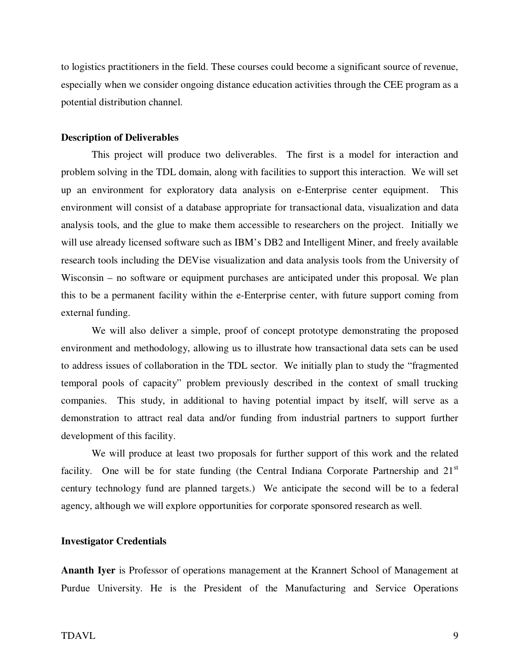to logistics practitioners in the field. These courses could become a significant source of revenue, especially when we consider ongoing distance education activities through the CEE program as a potential distribution channel.

#### **Description of Deliverables**

This project will produce two deliverables. The first is a model for interaction and problem solving in the TDL domain, along with facilities to support this interaction. We will set up an environment for exploratory data analysis on e-Enterprise center equipment. This environment will consist of a database appropriate for transactional data, visualization and data analysis tools, and the glue to make them accessible to researchers on the project. Initially we will use already licensed software such as IBM's DB2 and Intelligent Miner, and freely available research tools including the DEVise visualization and data analysis tools from the University of Wisconsin – no software or equipment purchases are anticipated under this proposal. We plan this to be a permanent facility within the e-Enterprise center, with future support coming from external funding.

We will also deliver a simple, proof of concept prototype demonstrating the proposed environment and methodology, allowing us to illustrate how transactional data sets can be used to address issues of collaboration in the TDL sector. We initially plan to study the "fragmented temporal pools of capacity" problem previously described in the context of small trucking companies. This study, in additional to having potential impact by itself, will serve as a demonstration to attract real data and/or funding from industrial partners to support further development of this facility.

We will produce at least two proposals for further support of this work and the related facility. One will be for state funding (the Central Indiana Corporate Partnership and  $21<sup>st</sup>$ century technology fund are planned targets.) We anticipate the second will be to a federal agency, although we will explore opportunities for corporate sponsored research as well.

#### **Investigator Credentials**

**Ananth Iyer** is Professor of operations management at the Krannert School of Management at Purdue University. He is the President of the Manufacturing and Service Operations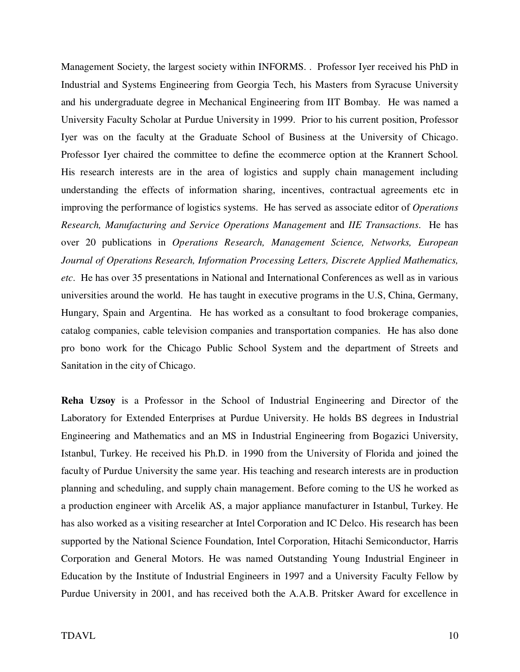Management Society, the largest society within INFORMS. . Professor Iyer received his PhD in Industrial and Systems Engineering from Georgia Tech, his Masters from Syracuse University and his undergraduate degree in Mechanical Engineering from IIT Bombay. He was named a University Faculty Scholar at Purdue University in 1999. Prior to his current position, Professor Iyer was on the faculty at the Graduate School of Business at the University of Chicago. Professor Iyer chaired the committee to define the ecommerce option at the Krannert School. His research interests are in the area of logistics and supply chain management including understanding the effects of information sharing, incentives, contractual agreements etc in improving the performance of logistics systems. He has served as associate editor of *Operations Research, Manufacturing and Service Operations Management* and *IIE Transactions*. He has over 20 publications in *Operations Research, Management Science, Networks, European Journal of Operations Research, Information Processing Letters, Discrete Applied Mathematics, etc*. He has over 35 presentations in National and International Conferences as well as in various universities around the world. He has taught in executive programs in the U.S, China, Germany, Hungary, Spain and Argentina. He has worked as a consultant to food brokerage companies, catalog companies, cable television companies and transportation companies. He has also done pro bono work for the Chicago Public School System and the department of Streets and Sanitation in the city of Chicago.

**Reha Uzsoy** is a Professor in the School of Industrial Engineering and Director of the Laboratory for Extended Enterprises at Purdue University. He holds BS degrees in Industrial Engineering and Mathematics and an MS in Industrial Engineering from Bogazici University, Istanbul, Turkey. He received his Ph.D. in 1990 from the University of Florida and joined the faculty of Purdue University the same year. His teaching and research interests are in production planning and scheduling, and supply chain management. Before coming to the US he worked as a production engineer with Arcelik AS, a major appliance manufacturer in Istanbul, Turkey. He has also worked as a visiting researcher at Intel Corporation and IC Delco. His research has been supported by the National Science Foundation, Intel Corporation, Hitachi Semiconductor, Harris Corporation and General Motors. He was named Outstanding Young Industrial Engineer in Education by the Institute of Industrial Engineers in 1997 and a University Faculty Fellow by Purdue University in 2001, and has received both the A.A.B. Pritsker Award for excellence in